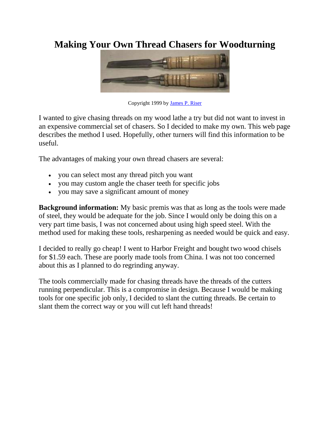## **Making Your Own Thread Chasers for Woodturning**



Copyright 1999 by [James P. Riser](mailto:jriser@JamesRiser.com)

I wanted to give chasing threads on my wood lathe a try but did not want to invest in an expensive commercial set of chasers. So I decided to make my own. This web page describes the method I used. Hopefully, other turners will find this information to be useful.

The advantages of making your own thread chasers are several:

- you can select most any thread pitch you want
- you may custom angle the chaser teeth for specific jobs
- you may save a significant amount of money

**Background information:** My basic premis was that as long as the tools were made of steel, they would be adequate for the job. Since I would only be doing this on a very part time basis, I was not concerned about using high speed steel. With the method used for making these tools, resharpening as needed would be quick and easy.

I decided to really go cheap! I went to Harbor Freight and bought two wood chisels for \$1.59 each. These are poorly made tools from China. I was not too concerned about this as I planned to do regrinding anyway.

The tools commercially made for chasing threads have the threads of the cutters running perpendicular. This is a compromise in design. Because I would be making tools for one specific job only, I decided to slant the cutting threads. Be certain to slant them the correct way or you will cut left hand threads!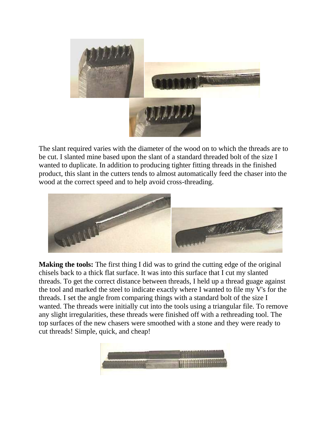

The slant required varies with the diameter of the wood on to which the threads are to be cut. I slanted mine based upon the slant of a standard threaded bolt of the size I wanted to duplicate. In addition to producing tighter fitting threads in the finished product, this slant in the cutters tends to almost automatically feed the chaser into the wood at the correct speed and to help avoid cross-threading.



**Making the tools:** The first thing I did was to grind the cutting edge of the original chisels back to a thick flat surface. It was into this surface that I cut my slanted threads. To get the correct distance between threads, I held up a thread guage against the tool and marked the steel to indicate exactly where I wanted to file my V's for the threads. I set the angle from comparing things with a standard bolt of the size I wanted. The threads were initially cut into the tools using a triangular file. To remove any slight irregularities, these threads were finished off with a rethreading tool. The top surfaces of the new chasers were smoothed with a stone and they were ready to cut threads! Simple, quick, and cheap!